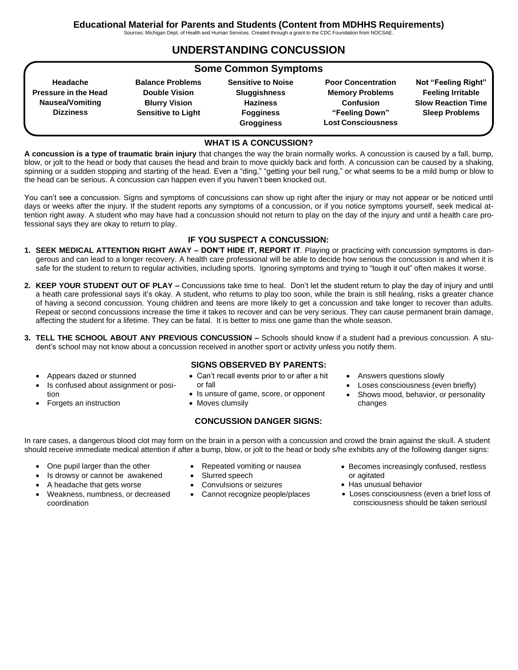Sources: Michigan Dept. of Health and Human Services. Created through a grant to the CDC Foundation from NOCSAE.

# **UNDERSTANDING CONCUSSION**

| <b>Some Common Symptoms</b> |                           |                           |                           |                           |
|-----------------------------|---------------------------|---------------------------|---------------------------|---------------------------|
| Headache                    | <b>Balance Problems</b>   | <b>Sensitive to Noise</b> | <b>Poor Concentration</b> | Not "Feeling Right"       |
| <b>Pressure in the Head</b> | <b>Double Vision</b>      | <b>Sluggishness</b>       | <b>Memory Problems</b>    | <b>Feeling Irritable</b>  |
| Nausea/Vomiting             | <b>Blurry Vision</b>      | <b>Haziness</b>           | <b>Confusion</b>          | <b>Slow Reaction Time</b> |
| <b>Dizziness</b>            | <b>Sensitive to Light</b> | <b>Fogginess</b>          | "Feeling Down"            | <b>Sleep Problems</b>     |
|                             |                           | <b>Grogginess</b>         | <b>Lost Consciousness</b> |                           |

#### **WHAT IS A CONCUSSION?**

**A concussion is a type of traumatic brain injury** that changes the way the brain normally works. A concussion is caused by a fall, bump, blow, or jolt to the head or body that causes the head and brain to move quickly back and forth. A concussion can be caused by a shaking, spinning or a sudden stopping and starting of the head. Even a "ding," "getting your bell rung," or what seems to be a mild bump or blow to the head can be serious. A concussion can happen even if you haven't been knocked out.

You can't see a concussion. Signs and symptoms of concussions can show up right after the injury or may not appear or be noticed until days or weeks after the injury. If the student reports any symptoms of a concussion, or if you notice symptoms yourself, seek medical attention right away. A student who may have had a concussion should not return to play on the day of the injury and until a health care professional says they are okay to return to play.

## **IF YOU SUSPECT A CONCUSSION:**

- **1. SEEK MEDICAL ATTENTION RIGHT AWAY – DON'T HIDE IT, REPORT IT**. Playing or practicing with concussion symptoms is dangerous and can lead to a longer recovery. A health care professional will be able to decide how serious the concussion is and when it is safe for the student to return to regular activities, including sports. Ignoring symptoms and trying to "tough it out" often makes it worse.
- **2. KEEP YOUR STUDENT OUT OF PLAY –** Concussions take time to heal. Don't let the student return to play the day of injury and until a heath care professional says it's okay. A student, who returns to play too soon, while the brain is still healing, risks a greater chance of having a second concussion. Young children and teens are more likely to get a concussion and take longer to recover than adults. Repeat or second concussions increase the time it takes to recover and can be very serious. They can cause permanent brain damage, affecting the student for a lifetime. They can be fatal. It is better to miss one game than the whole season.
- **3. TELL THE SCHOOL ABOUT ANY PREVIOUS CONCUSSION –** Schools should know if a student had a previous concussion. A student's school may not know about a concussion received in another sport or activity unless you notify them.
	- Appears dazed or stunned
	- Is confused about assignment or position
	- Forgets an instruction

## **SIGNS OBSERVED BY PARENTS:**

- Can't recall events prior to or after a hit or fall
- Is unsure of game, score, or opponent
- Moves clumsily

#### **CONCUSSION DANGER SIGNS:**

In rare cases, a dangerous blood clot may form on the brain in a person with a concussion and crowd the brain against the skull. A student

should receive immediate medical attention if after a bump, blow, or jolt to the head or body s/he exhibits any of the following danger signs:

- One pupil larger than the other
- Is drowsy or cannot be awakened
- A headache that gets worse
- Weakness, numbness, or decreased coordination
- Repeated vomiting or nausea
- Slurred speech
- Convulsions or seizures
- Cannot recognize people/places
- 

• Loses consciousness (even briefly) Shows mood, behavior, or personality

• Answers questions slowly

- Becomes increasingly confused, restless or agitated
- Has unusual behavior

changes

• Loses consciousness (even a brief loss of consciousness should be taken seriousl